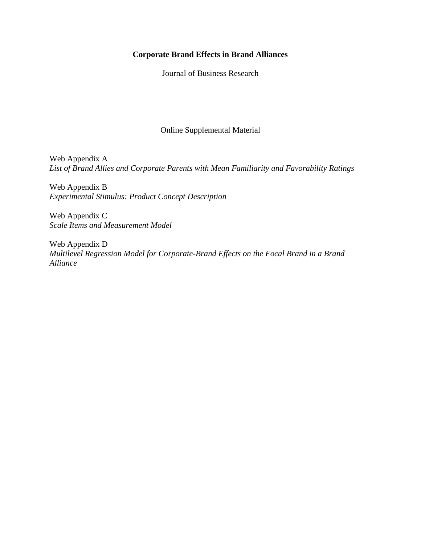# **Corporate Brand Effects in Brand Alliances**

Journal of Business Research

Online Supplemental Material

Web Appendix A *List of Brand Allies and Corporate Parents with Mean Familiarity and Favorability Ratings*

Web Appendix B *Experimental Stimulus: Product Concept Description*

Web Appendix C *Scale Items and Measurement Model*

Web Appendix D *Multilevel Regression Model for Corporate-Brand Effects on the Focal Brand in a Brand Alliance*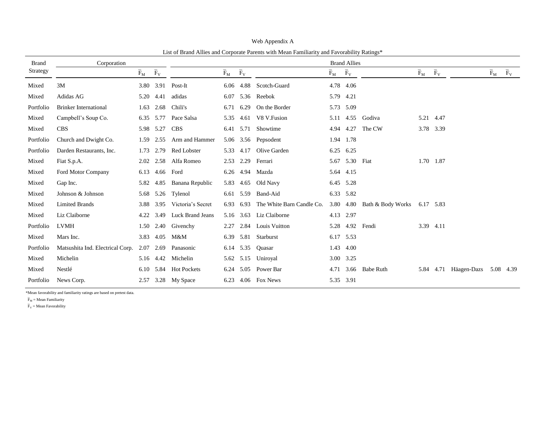| <b>Brand</b> | Corporation                      |                                 |                |                         | <u>Ent of Brund Annes and Corporate I arents with bream I ammatry and I avoidointy Italings</u><br><b>Brand Allies</b> |             |                           |                                 |             |                   |                               |             |                            |                               |             |
|--------------|----------------------------------|---------------------------------|----------------|-------------------------|------------------------------------------------------------------------------------------------------------------------|-------------|---------------------------|---------------------------------|-------------|-------------------|-------------------------------|-------------|----------------------------|-------------------------------|-------------|
| Strategy     |                                  | $\bar{\mathrm{F}}_{\mathrm{M}}$ | $\bar{F}_V$    |                         | $\bar{\mathrm{F}}_\mathrm{M}$                                                                                          | $\bar{F}_V$ |                           | $\bar{\mathrm{F}}_{\mathrm{M}}$ | $\bar{F}_V$ |                   | $\bar{\mathrm{F}}_\mathrm{M}$ | $\bar{F}_V$ |                            | $\bar{\mathrm{F}}_\mathrm{M}$ | $\bar{F}_V$ |
| Mixed        | 3M                               |                                 | 3.80 3.91      | Post-It                 |                                                                                                                        | 6.06 4.88   | Scotch-Guard              | 4.78                            | 4.06        |                   |                               |             |                            |                               |             |
| Mixed        | Adidas AG                        |                                 | 5.20 4.41      | adidas                  | 6.07                                                                                                                   | 5.36        | Reebok                    | 5.79                            | 4.21        |                   |                               |             |                            |                               |             |
| Portfolio    | <b>Brinker International</b>     |                                 | 1.63 2.68      | Chili's                 | 6.71                                                                                                                   | 6.29        | On the Border             |                                 | 5.73 5.09   |                   |                               |             |                            |                               |             |
| Mixed        | Campbell's Soup Co.              |                                 | 6.35 5.77      | Pace Salsa              | 5.35                                                                                                                   | 4.61        | V8 V.Fusion               | 5.11                            | 4.55        | Godiva            |                               | 5.21 4.47   |                            |                               |             |
| Mixed        | <b>CBS</b>                       |                                 | 5.98 5.27      | <b>CBS</b>              |                                                                                                                        | 6.41 5.71   | Showtime                  | 4.94                            | 4.27        | The CW            |                               | 3.78 3.39   |                            |                               |             |
| Portfolio    | Church and Dwight Co.            | 1.59                            | 2.55           | Arm and Hammer          |                                                                                                                        |             | 5.06 3.56 Pepsodent       | 1.94                            | 1.78        |                   |                               |             |                            |                               |             |
| Portfolio    | Darden Restaurants, Inc.         |                                 | 1.73 2.79      | Red Lobster             |                                                                                                                        | 5.33 4.17   | Olive Garden              | 6.25                            | 6.25        |                   |                               |             |                            |                               |             |
| Mixed        | Fiat S.p.A.                      |                                 | 2.02 2.58      | Alfa Romeo              | 2.53                                                                                                                   | 2.29        | Ferrari                   | 5.67                            | 5.30        | Fiat              |                               | 1.70 1.87   |                            |                               |             |
| Mixed        | Ford Motor Company               |                                 | 6.13 4.66 Ford |                         |                                                                                                                        | 6.26 4.94   | Mazda                     |                                 | 5.64 4.15   |                   |                               |             |                            |                               |             |
| Mixed        | Gap Inc.                         |                                 | 5.82 4.85      | Banana Republic         | 5.83                                                                                                                   | 4.65        | Old Navy                  |                                 | 6.45 5.28   |                   |                               |             |                            |                               |             |
| Mixed        | Johnson & Johnson                |                                 |                | 5.68 5.26 Tylenol       |                                                                                                                        | 6.61 5.59   | Band-Aid                  |                                 | 6.33 5.82   |                   |                               |             |                            |                               |             |
| Mixed        | <b>Limited Brands</b>            | 3.88                            | 3.95           | Victoria's Secret       | 6.93                                                                                                                   | 6.93        | The White Barn Candle Co. | 3.80                            | 4.80        | Bath & Body Works | 6.17 5.83                     |             |                            |                               |             |
| Mixed        | Liz Claiborne                    | 4.22                            | 3.49           | <b>Luck Brand Jeans</b> |                                                                                                                        | 5.16 3.63   | Liz Claiborne             |                                 | 4.13 2.97   |                   |                               |             |                            |                               |             |
| Portfolio    | <b>LVMH</b>                      |                                 |                | 1.50 2.40 Givenchy      | 2.27                                                                                                                   | 2.84        | Louis Vuitton             | 5.28                            | 4.92        | Fendi             |                               | 3.39 4.11   |                            |                               |             |
| Mixed        | Mars Inc.                        |                                 | 3.83 4.05      | M&M                     |                                                                                                                        | 6.39 5.81   | Starburst                 |                                 | 6.17 5.53   |                   |                               |             |                            |                               |             |
| Portfolio    | Matsushita Ind. Electrical Corp. | 2.07                            | 2.69           | Panasonic               | 6.14                                                                                                                   | 5.35        | Ouasar                    | 1.43                            | 4.00        |                   |                               |             |                            |                               |             |
| Mixed        | Michelin                         |                                 | 5.16 4.42      | Michelin                |                                                                                                                        | 5.62 5.15   | Uniroyal                  |                                 | 3.00 3.25   |                   |                               |             |                            |                               |             |
| Mixed        | Nestlé                           |                                 | 6.10 5.84      | <b>Hot Pockets</b>      | 6.24                                                                                                                   | 5.05        | Power Bar                 | 4.71                            | 3.66        | Babe Ruth         | 5.84                          |             | 4.71 Häagen-Dazs 5.08 4.39 |                               |             |
| Portfolio    | News Corp.                       |                                 |                | 2.57 3.28 My Space      | 6.23                                                                                                                   |             | 4.06 Fox News             |                                 | 5.35 3.91   |                   |                               |             |                            |                               |             |

Web Appendix A List of Brand Allies and Corporate Parents with Mean Familiarity and Favorability Ratings\*

\*Mean favorability and familiarity ratings are based on pretest data.

 $\overline{\mathrm{F}}_\mathrm{M} = \mathrm{Mean}$  Familiarity

 $\overline{\mathrm{F}}_\mathrm{V}$  = Mean Favorability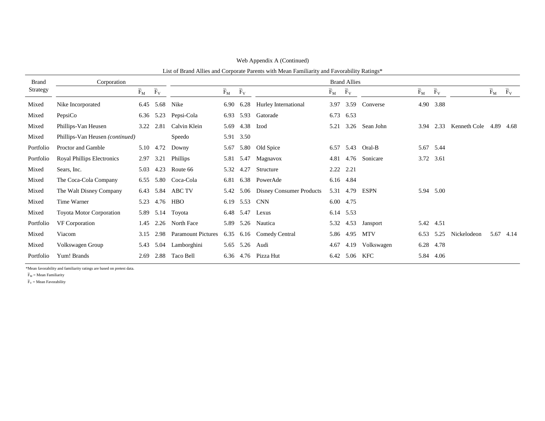| <b>Brand</b> | Corporation                       |                                      |             | <b>Brand Allies</b>       |                                 |             |                                 |       |           |               |                                 |                                      |              |       |                                 |
|--------------|-----------------------------------|--------------------------------------|-------------|---------------------------|---------------------------------|-------------|---------------------------------|-------|-----------|---------------|---------------------------------|--------------------------------------|--------------|-------|---------------------------------|
| Strategy     |                                   | $\overline{\mathrm{F}}_{\mathrm{M}}$ | $\bar{F}_V$ |                           | $\bar{\mathrm{F}}_{\mathrm{M}}$ | $\bar{F}_V$ |                                 | $F_M$ | $F_V$     |               | $\bar{\mathrm{F}}_{\mathrm{M}}$ | $\overline{\mathrm{F}}_{\mathrm{V}}$ |              | $F_M$ | $\bar{\mathrm{F}}_{\mathrm{V}}$ |
| Mixed        | Nike Incorporated                 |                                      |             | 6.45 5.68 Nike            | 6.90                            | 6.28        | Hurley International            | 3.97  | 3.59      | Converse      |                                 | 4.90 3.88                            |              |       |                                 |
| Mixed        | PepsiCo                           |                                      | 6.36 5.23   | Pepsi-Cola                | 6.93                            | 5.93        | Gatorade                        | 6.73  | 6.53      |               |                                 |                                      |              |       |                                 |
| Mixed        | Phillips-Van Heusen               | 3.22                                 | 2.81        | Calvin Klein              | 5.69                            | 4.38        | Izod                            | 5.21  | 3.26      | Sean John     | 3.94                            | 2.33                                 | Kenneth Cole | 4.89  | 4.68                            |
| Mixed        | Phillips-Van Heusen (continued)   |                                      |             | Speedo                    | 5.91                            | 3.50        |                                 |       |           |               |                                 |                                      |              |       |                                 |
| Portfolio    | Proctor and Gamble                |                                      | 5.10 4.72   | Downy                     | 5.67                            | 5.80        | Old Spice                       | 6.57  | 5.43      | Oral-B        |                                 | 5.67 5.44                            |              |       |                                 |
| Portfolio    | <b>Royal Phillips Electronics</b> |                                      | 2.97 3.21   | Phillips                  | 5.81                            | 5.47        | Magnavox                        | 4.81  |           | 4.76 Sonicare |                                 | 3.72 3.61                            |              |       |                                 |
| Mixed        | Sears, Inc.                       | 5.03                                 | 4.23        | Route 66                  | 5.32                            | 4.27        | Structure                       |       | 2.22 2.21 |               |                                 |                                      |              |       |                                 |
| Mixed        | The Coca-Cola Company             | 6.55                                 |             | 5.80 Coca-Cola            | 6.81                            | 6.38        | PowerAde                        |       | 6.16 4.84 |               |                                 |                                      |              |       |                                 |
| Mixed        | The Walt Disney Company           |                                      |             | 6.43 5.84 ABC TV          | 5.42                            | 5.06        | <b>Disney Consumer Products</b> |       | 5.31 4.79 | <b>ESPN</b>   |                                 | 5.94 5.00                            |              |       |                                 |
| Mixed        | Time Warner                       | 5.23                                 | 4.76        | <b>HBO</b>                | 6.19                            | 5.53        | <b>CNN</b>                      | 6.00  | 4.75      |               |                                 |                                      |              |       |                                 |
| Mixed        | <b>Toyota Motor Corporation</b>   |                                      |             | 5.89 5.14 Toyota          | 6.48                            | 5.47        | Lexus                           |       | 6.14 5.53 |               |                                 |                                      |              |       |                                 |
| Portfolio    | VF Corporation                    |                                      |             | 1.45 2.26 North Face      | 5.89                            | 5.26        | Nautica                         | 5.32  | 4.53      | Jansport      | 5.42 4.51                       |                                      |              |       |                                 |
| Mixed        | Viacom                            |                                      | 3.15 2.98   | <b>Paramount Pictures</b> | 6.35                            | 6.16        | Comedy Central                  | 5.86  | 4.95      | MTV           | 6.53                            | 5.25                                 | Nickelodeon  |       | 5.67 4.14                       |
| Mixed        | Volkswagen Group                  | 5.43                                 | 5.04        | Lamborghini               | 5.65                            | 5.26        | Audi                            | 4.67  | 4.19      | Volkswagen    |                                 | 6.28 4.78                            |              |       |                                 |
| Portfolio    | Yum! Brands                       | 2.69                                 | 2.88        | Taco Bell                 | 6.36                            |             | 4.76 Pizza Hut                  | 6.42  | 5.06 KFC  |               |                                 | 5.84 4.06                            |              |       |                                 |

Web Appendix A (Continued)

List of Brand Allies and Corporate Parents with Mean Familiarity and Favorability Ratings\*

\*Mean favorability and familiarity ratings are based on pretest data.

 $\overline{F}_M$  = Mean Familiarity

 $\overline{F}_V$  = Mean Favorability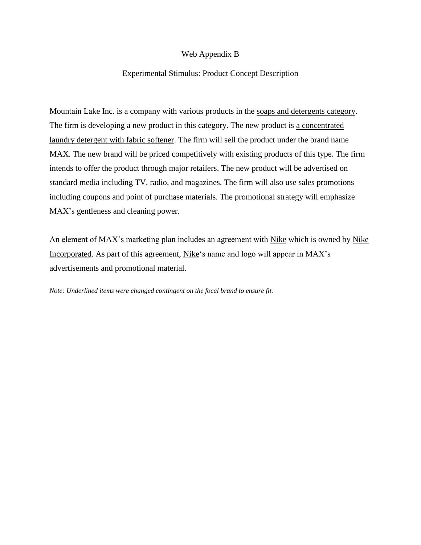## Web Appendix B

### Experimental Stimulus: Product Concept Description

Mountain Lake Inc. is a company with various products in the soaps and detergents category. The firm is developing a new product in this category. The new product is a concentrated laundry detergent with fabric softener. The firm will sell the product under the brand name MAX. The new brand will be priced competitively with existing products of this type. The firm intends to offer the product through major retailers. The new product will be advertised on standard media including TV, radio, and magazines. The firm will also use sales promotions including coupons and point of purchase materials. The promotional strategy will emphasize MAX's gentleness and cleaning power.

An element of MAX's marketing plan includes an agreement with Nike which is owned by Nike Incorporated. As part of this agreement, Nike's name and logo will appear in MAX's advertisements and promotional material.

*Note: Underlined items were changed contingent on the focal brand to ensure fit.*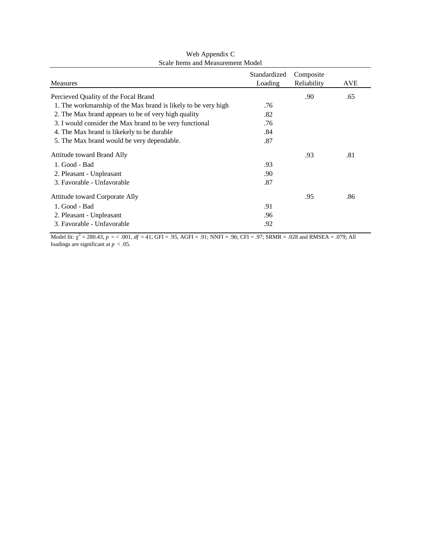| Measures                                                      | Standardized<br>Loading | Composite<br>Reliability | <b>AVE</b> |
|---------------------------------------------------------------|-------------------------|--------------------------|------------|
| Percieved Quality of the Focal Brand                          |                         | .90                      | .65        |
| 1. The workmanship of the Max brand is likely to be very high | .76                     |                          |            |
| 2. The Max brand appears to be of very high quality           | .82                     |                          |            |
| 3. I would consider the Max brand to be very functional       | .76                     |                          |            |
| 4. The Max brand is like kely to be durable                   | .84                     |                          |            |
| 5. The Max brand would be very dependable.                    | .87                     |                          |            |
| Attitude toward Brand Ally                                    |                         | .93                      | .81        |
| 1. Good - Bad                                                 | .93                     |                          |            |
| 2. Pleasant - Unpleasant                                      | .90                     |                          |            |
| 3. Favorable - Unfavorable                                    | .87                     |                          |            |
| Attitude toward Corporate Ally                                |                         | .95                      | .86        |
| 1. Good - Bad                                                 | .91                     |                          |            |
| 2. Pleasant - Unpleasant                                      | .96                     |                          |            |
| 3. Favorable - Unfavorable                                    | .92                     |                          |            |

Web Appendix C Scale Items and Measurement Model

Model fit:  $\chi^2 = 280.43$ ,  $p = < .001$ ,  $df = 41$ ; GFI = .95, AGFI = .91; NNFI = .96; CFI = .97; SRMR = .028 and RMSEA = .079; All loadings are significant at *p* < .05.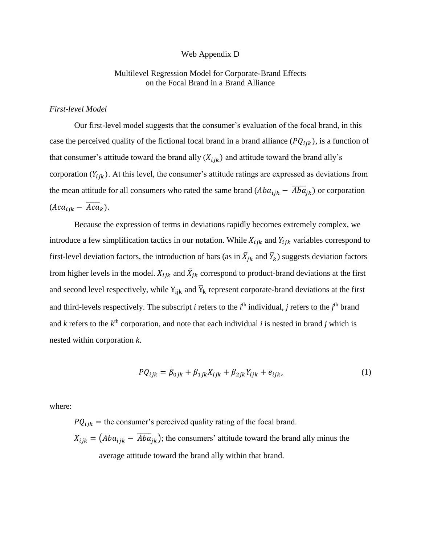#### Web Appendix D

## Multilevel Regression Model for Corporate-Brand Effects on the Focal Brand in a Brand Alliance

#### *First-level Model*

Our first-level model suggests that the consumer's evaluation of the focal brand, in this case the perceived quality of the fictional focal brand in a brand alliance ( $PQ_{ijk}$ ), is a function of that consumer's attitude toward the brand ally  $(X_{ijk})$  and attitude toward the brand ally's corporation  $(Y_{ijk})$ . At this level, the consumer's attitude ratings are expressed as deviations from the mean attitude for all consumers who rated the same brand  $(Aba_{ijk} - \overline{Aba}_{jk})$  or corporation  $(Aca_{ijk} - \overline{Aca}_k).$ 

Because the expression of terms in deviations rapidly becomes extremely complex, we introduce a few simplification tactics in our notation. While  $X_{ijk}$  and  $Y_{ijk}$  variables correspond to first-level deviation factors, the introduction of bars (as in  $\bar{X}_{jk}$  and  $\bar{Y}_k$ ) suggests deviation factors from higher levels in the model.  $X_{ijk}$  and  $\bar{X}_{jk}$  correspond to product-brand deviations at the first and second level respectively, while  $Y_{ijk}$  and  $\overline{Y}_k$  represent corporate-brand deviations at the first and third-levels respectively. The subscript *i* refers to the  $i^{\text{th}}$  individual, *j* refers to the  $j^{\text{th}}$  brand and  $k$  refers to the  $k^{\text{th}}$  corporation, and note that each individual  $i$  is nested in brand  $j$  which is nested within corporation *k*.

$$
PQ_{ijk} = \beta_{0jk} + \beta_{1jk} X_{ijk} + \beta_{2jk} Y_{ijk} + e_{ijk},
$$
 (1)

where:

 $PQ_{ijk}$  = the consumer's perceived quality rating of the focal brand.  $X_{ijk} = (Aba_{ijk} - \overline{Aba}_{jk})$ ; the consumers' attitude toward the brand ally minus the average attitude toward the brand ally within that brand.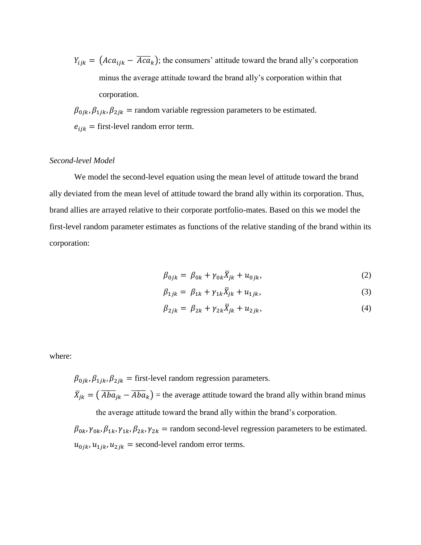$Y_{ijk} = (Aca_{ijk} - \overline{Aca}_k)$ ; the consumers' attitude toward the brand ally's corporation minus the average attitude toward the brand ally's corporation within that corporation.

 $\beta_{0jk}$ ,  $\beta_{1jk}$ ,  $\beta_{2jk}$  = random variable regression parameters to be estimated.  $e_{ijk}$  = first-level random error term.

### *Second-level Model*

We model the second-level equation using the mean level of attitude toward the brand ally deviated from the mean level of attitude toward the brand ally within its corporation. Thus, brand allies are arrayed relative to their corporate portfolio-mates. Based on this we model the first-level random parameter estimates as functions of the relative standing of the brand within its corporation:

$$
\beta_{0jk} = \beta_{0k} + \gamma_{0k}\bar{X}_{jk} + u_{0jk},
$$
\n(2)

$$
\beta_{1jk} = \beta_{1k} + \gamma_{1k}\bar{X}_{jk} + u_{1jk},
$$
\n(3)

$$
\beta_{2jk} = \beta_{2k} + \gamma_{2k}\bar{X}_{jk} + u_{2jk},
$$
\n(4)

where:

 $\beta_{0ik}, \beta_{1ik}, \beta_{2ik}$  = first-level random regression parameters.  $\bar{X}_{jk} = (\overline{Aba}_{jk} - \overline{Aba}_{k})$  = the average attitude toward the brand ally within brand minus the average attitude toward the brand ally within the brand's corporation.

 $\beta_{0k}$ ,  $\gamma_{0k}$ ,  $\beta_{1k}$ ,  $\gamma_{1k}$ ,  $\beta_{2k}$ ,  $\gamma_{2k}$  = random second-level regression parameters to be estimated.  $u_{0jk}$ ,  $u_{1jk}$ ,  $u_{2jk}$  = second-level random error terms.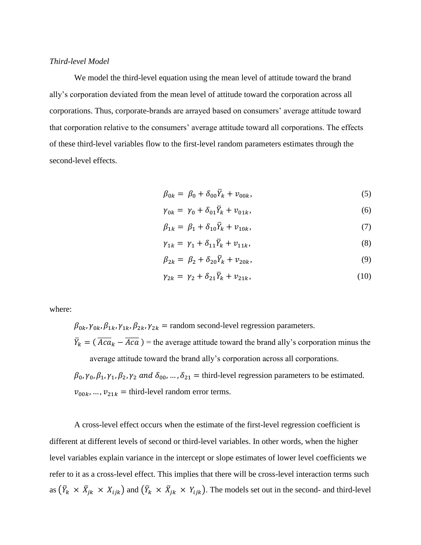## *Third-level Model*

We model the third-level equation using the mean level of attitude toward the brand ally's corporation deviated from the mean level of attitude toward the corporation across all corporations. Thus, corporate-brands are arrayed based on consumers' average attitude toward that corporation relative to the consumers' average attitude toward all corporations. The effects of these third-level variables flow to the first-level random parameters estimates through the second-level effects.

$$
\beta_{0k} = \beta_0 + \delta_{00} \bar{Y}_k + v_{00k},\tag{5}
$$

$$
\gamma_{0k} = \gamma_0 + \delta_{01} \bar{Y}_k + v_{01k}, \qquad (6)
$$

$$
\beta_{1k} = \beta_1 + \delta_{10} \bar{Y}_k + v_{10k},\tag{7}
$$

$$
\gamma_{1k} = \gamma_1 + \delta_{11} \bar{Y}_k + v_{11k},\tag{8}
$$

$$
\beta_{2k} = \beta_2 + \delta_{20} \bar{Y}_k + v_{20k},
$$
\n(9)

$$
\gamma_{2k} = \gamma_2 + \delta_{21} \bar{Y}_k + \nu_{21k},\tag{10}
$$

where:

 $\beta_{0k}$ ,  $\gamma_{0k}$ ,  $\beta_{1k}$ ,  $\gamma_{1k}$ ,  $\beta_{2k}$ ,  $\gamma_{2k}$  = random second-level regression parameters.

 $\bar{Y}_k = (\overline{Aca}_k - \overline{Aca})$  = the average attitude toward the brand ally's corporation minus the average attitude toward the brand ally's corporation across all corporations.

 $\beta_0$ ,  $\gamma_0$ ,  $\beta_1$ ,  $\gamma_1$ ,  $\beta_2$ ,  $\gamma_2$  and  $\delta_{00}$ , ...,  $\delta_{21}$  = third-level regression parameters to be estimated.  $v_{00k}$ , ...,  $v_{21k}$  = third-level random error terms.

A cross-level effect occurs when the estimate of the first-level regression coefficient is different at different levels of second or third-level variables. In other words, when the higher level variables explain variance in the intercept or slope estimates of lower level coefficients we refer to it as a cross-level effect. This implies that there will be cross-level interaction terms such as  $(\bar{Y}_k \times \bar{X}_{jk} \times X_{ijk})$  and  $(\bar{Y}_k \times \bar{X}_{jk} \times Y_{ijk})$ . The models set out in the second- and third-level